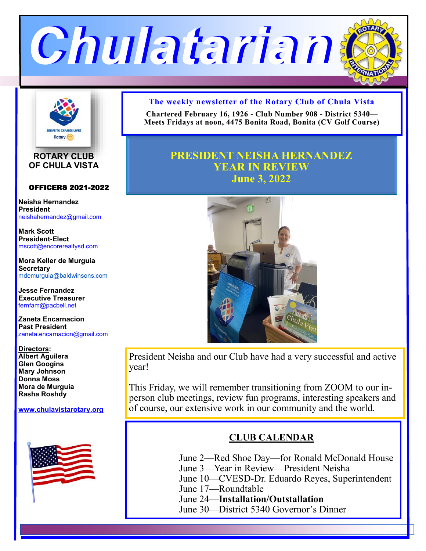



**ROTARY CLUB OF CHULA VISTA**

#### OFFICERS 2021-2022

**Neisha Hernandez President** neishahernandez@gmail.com

**Mark Scott President-Elect** mscott@encorerealtysd.com

**Mora Keller de Murguia Secretary** mdemurguia@baldwinsons.com

**Jesse Fernandez Executive Treasurer** fernfam@pacbell.net

**Zaneta Encarnacion Past President** zaneta.encarnacion@gmail.com

**Directors: Albert Aguilera Glen Googins Mary Johnson Donna Moss Mora de Murguia Rasha Roshdy**

**www.[chulavistarotary.org](http://www.chulavistarotary.org)**



### **The weekly newsletter of the Rotary Club of Chula Vista**

**Chartered February 16, 1926 - Club Number 908 - District 5340— Meets Fridays at noon, 4475 Bonita Road, Bonita (CV Golf Course)**

# **PRESIDENT NEISHA HERNANDEZ YEAR IN REVIEW June 3, 2022**



President Neisha and our Club have had a very successful and active year!

This Friday, we will remember transitioning from ZOOM to our inperson club meetings, review fun programs, interesting speakers and of course, our extensive work in our community and the world.

## **CLUB CALENDAR**

- June 2—Red Shoe Day—for Ronald McDonald House
- June 3—Year in Review—President Neisha
- June 10—CVESD-Dr. Eduardo Reyes, Superintendent
- June 17—Roundtable
- June 24—**Installation/Outstallation**
- June 30—District 5340 Governor's Dinner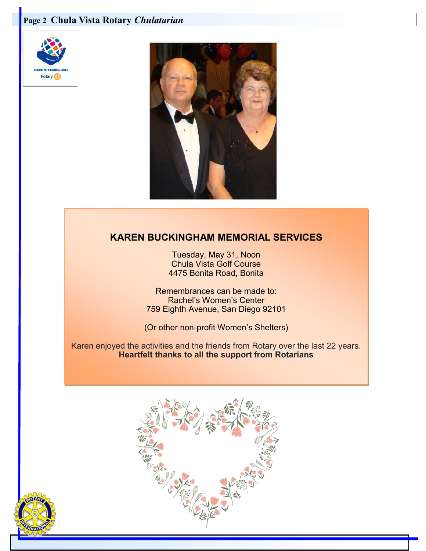## **Page 2 Chula Vista Rotary** *Chulatarian*





# **KAREN BUCKINGHAM MEMORIAL SERVICES**

Tuesday, May 31, Noon Chula Vista Golf Course 4475 Bonita Road, Bonita

Remembrances can be made to: Rachel's Women's Center 759 Eighth Avenue, San Diego 92101

(Or other non-profit Women's Shelters)

Karen enjoyed the activities and the friends from Rotary over the last 22 years. **Heartfelt thanks to all the support from Rotarians**



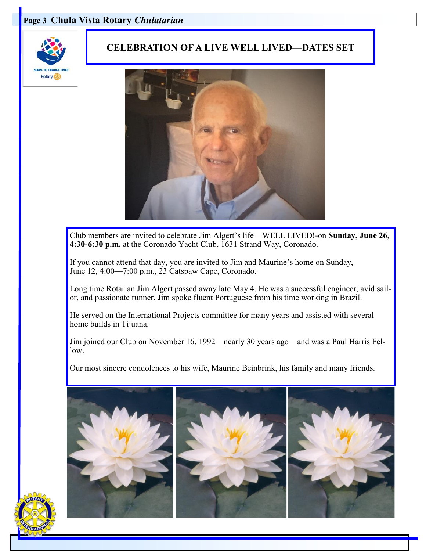### **Page 3 Chula Vista Rotary** *Chulatarian*



### **CELEBRATION OF A LIVE WELL LIVED—DATES SET**



Club members are invited to celebrate Jim Algert's life—WELL LIVED!-on **Sunday, June 26**, **4:30-6:30 p.m.** at the Coronado Yacht Club, 1631 Strand Way, Coronado.

If you cannot attend that day, you are invited to Jim and Maurine's home on Sunday, June 12, 4:00—7:00 p.m., 23 Catspaw Cape, Coronado.

Long time Rotarian Jim Algert passed away late May 4. He was a successful engineer, avid sailor, and passionate runner. Jim spoke fluent Portuguese from his time working in Brazil.

He served on the International Projects committee for many years and assisted with several home builds in Tijuana.

Jim joined our Club on November 16, 1992—nearly 30 years ago—and was a Paul Harris Fellow.

Our most sincere condolences to his wife, Maurine Beinbrink, his family and many friends.

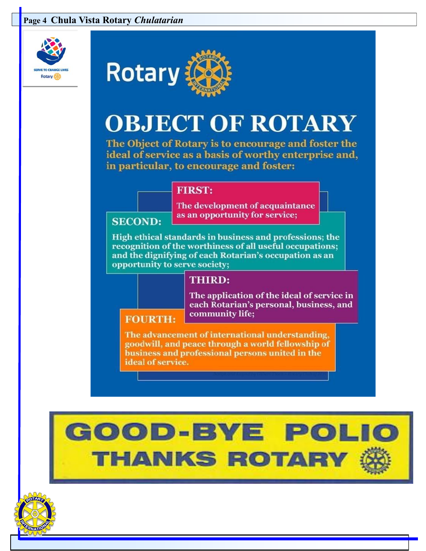## **Page 4 Chula Vista Rotary** *Chulatarian*





# **OBJECT OF ROTARY**

The Object of Rotary is to encourage and foster the ideal of service as a basis of worthy enterprise and, in particular, to encourage and foster:

### **FIRST:**

The development of acquaintance as an opportunity for service;

### **SECOND:**

High ethical standards in business and professions; the recognition of the worthiness of all useful occupations; and the dignifying of each Rotarian's occupation as an opportunity to serve society;

## **THIRD:**

The application of the ideal of service in each Rotarian's personal, business, and community life;

### **FOURTH:**

The advancement of international understanding, goodwill, and peace through a world fellowship of business and professional persons united in the ideal of service.



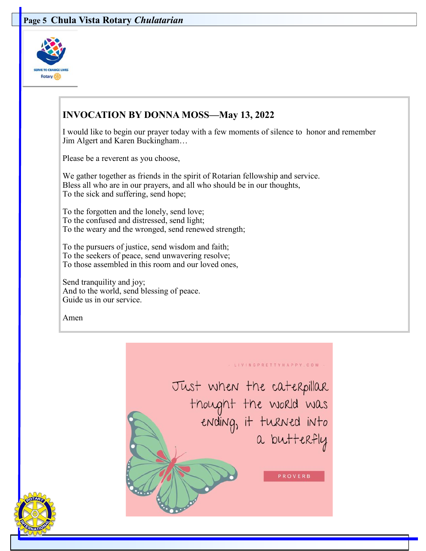### **Page 5 Chula Vista Rotary** *Chulatarian*



## **INVOCATION BY DONNA MOSS—May 13, 2022**

I would like to begin our prayer today with a few moments of silence to honor and remember Jim Algert and Karen Buckingham…

Please be a reverent as you choose,

We gather together as friends in the spirit of Rotarian fellowship and service. Bless all who are in our prayers, and all who should be in our thoughts, To the sick and suffering, send hope;

To the forgotten and the lonely, send love; To the confused and distressed, send light; To the weary and the wronged, send renewed strength;

To the pursuers of justice, send wisdom and faith; To the seekers of peace, send unwavering resolve; To those assembled in this room and our loved ones,

Send tranquility and joy; And to the world, send blessing of peace. Guide us in our service.

Amen



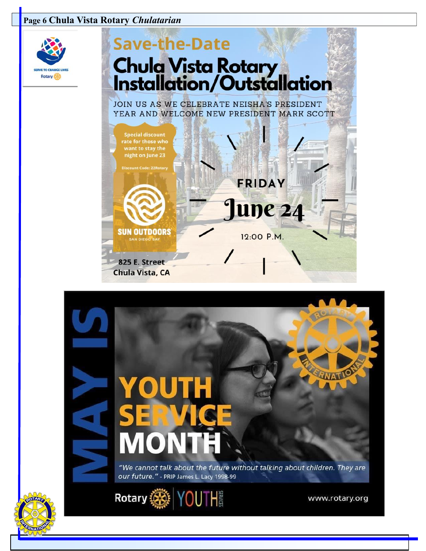### **Page 6 Chula Vista Rotary** *Chulatarian*